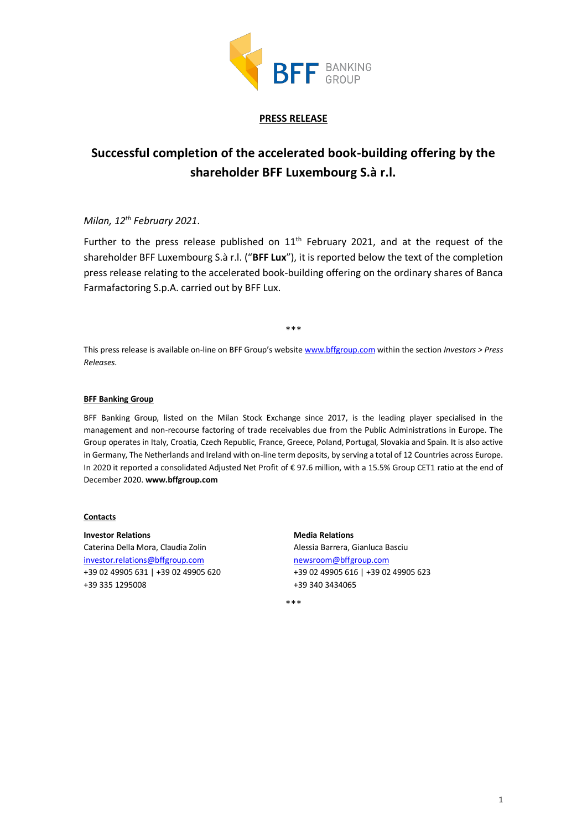

### **PRESS RELEASE**

# **Successful completion of the accelerated book-building offering by the shareholder BFF Luxembourg S.à r.l.**

## *Milan, 12 th February 2021*.

Further to the press release published on  $11<sup>th</sup>$  February 2021, and at the request of the shareholder BFF Luxembourg S.à r.l. ("**BFF Lux**"), it is reported below the text of the completion press release relating to the accelerated book-building offering on the ordinary shares of Banca Farmafactoring S.p.A. carried out by BFF Lux.

\*\*\*

This press release is available on-line on BFF Group's website [www.bffgroup.com](https://www.bffgroup.com/en/home) within the section *Investors > Press Releases.*

#### **BFF Banking Group**

BFF Banking Group, listed on the Milan Stock Exchange since 2017, is the leading player specialised in the management and non-recourse factoring of trade receivables due from the Public Administrations in Europe. The Group operates in Italy, Croatia, Czech Republic, France, Greece, Poland, Portugal, Slovakia and Spain. It is also active in Germany, The Netherlands and Ireland with on-line term deposits, by serving a total of 12 Countries across Europe. In 2020 it reported a consolidated Adjusted Net Profit of € 97.6 million, with a 15.5% Group CET1 ratio at the end of December 2020. **www.bffgroup.com**

#### **Contacts**

**Investor Relations** Caterina Della Mora, Claudia Zolin [investor.relations@bffgroup.com](mailto:investor.relations@bffgroup.com) +39 02 49905 631 | +39 02 49905 620 +39 335 1295008

**Media Relations** Alessia Barrera, Gianluca Basciu [newsroom@bffgroup.com](mailto:newsroom@bffgroup.com) +39 02 49905 616 | +39 02 49905 623 +39 340 3434065

\*\*\*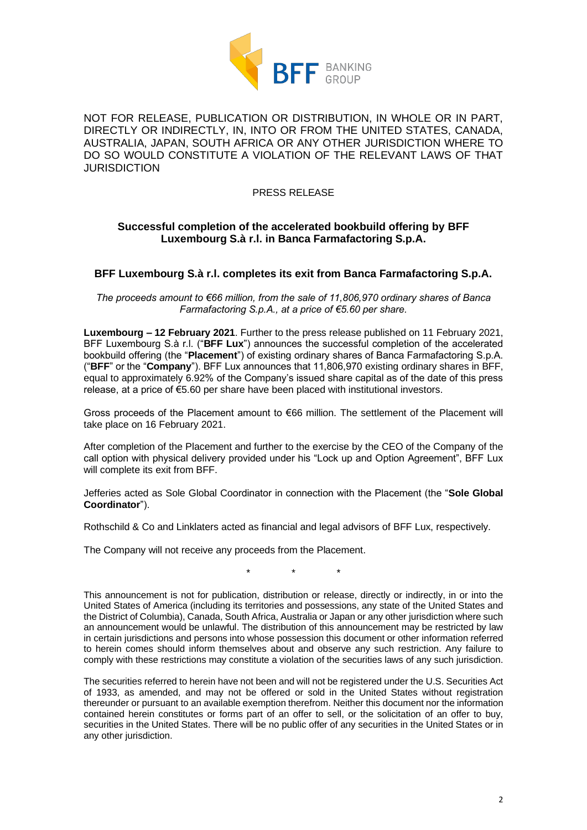

NOT FOR RELEASE, PUBLICATION OR DISTRIBUTION, IN WHOLE OR IN PART, DIRECTLY OR INDIRECTLY, IN, INTO OR FROM THE UNITED STATES, CANADA, AUSTRALIA, JAPAN, SOUTH AFRICA OR ANY OTHER JURISDICTION WHERE TO DO SO WOULD CONSTITUTE A VIOLATION OF THE RELEVANT LAWS OF THAT **JURISDICTION** 

PRESS RELEASE

## **Successful completion of the accelerated bookbuild offering by BFF Luxembourg S.à r.l. in Banca Farmafactoring S.p.A.**

### **BFF Luxembourg S.à r.l. completes its exit from Banca Farmafactoring S.p.A.**

*The proceeds amount to €66 million, from the sale of 11,806,970 ordinary shares of Banca Farmafactoring S.p.A., at a price of €5.60 per share.*

**Luxembourg – 12 February 2021**. Further to the press release published on 11 February 2021, BFF Luxembourg S.à r.l. ("**BFF Lux**") announces the successful completion of the accelerated bookbuild offering (the "**Placement**") of existing ordinary shares of Banca Farmafactoring S.p.A. ("**BFF**" or the "**Company**"). BFF Lux announces that 11,806,970 existing ordinary shares in BFF, equal to approximately 6.92% of the Company's issued share capital as of the date of this press release, at a price of €5.60 per share have been placed with institutional investors.

Gross proceeds of the Placement amount to €66 million. The settlement of the Placement will take place on 16 February 2021.

After completion of the Placement and further to the exercise by the CEO of the Company of the call option with physical delivery provided under his "Lock up and Option Agreement", BFF Lux will complete its exit from BFF.

Jefferies acted as Sole Global Coordinator in connection with the Placement (the "**Sole Global Coordinator**").

Rothschild & Co and Linklaters acted as financial and legal advisors of BFF Lux, respectively.

The Company will not receive any proceeds from the Placement.

\* \* \*

This announcement is not for publication, distribution or release, directly or indirectly, in or into the United States of America (including its territories and possessions, any state of the United States and the District of Columbia), Canada, South Africa, Australia or Japan or any other jurisdiction where such an announcement would be unlawful. The distribution of this announcement may be restricted by law in certain jurisdictions and persons into whose possession this document or other information referred to herein comes should inform themselves about and observe any such restriction. Any failure to comply with these restrictions may constitute a violation of the securities laws of any such jurisdiction.

The securities referred to herein have not been and will not be registered under the U.S. Securities Act of 1933, as amended, and may not be offered or sold in the United States without registration thereunder or pursuant to an available exemption therefrom. Neither this document nor the information contained herein constitutes or forms part of an offer to sell, or the solicitation of an offer to buy, securities in the United States. There will be no public offer of any securities in the United States or in any other jurisdiction.